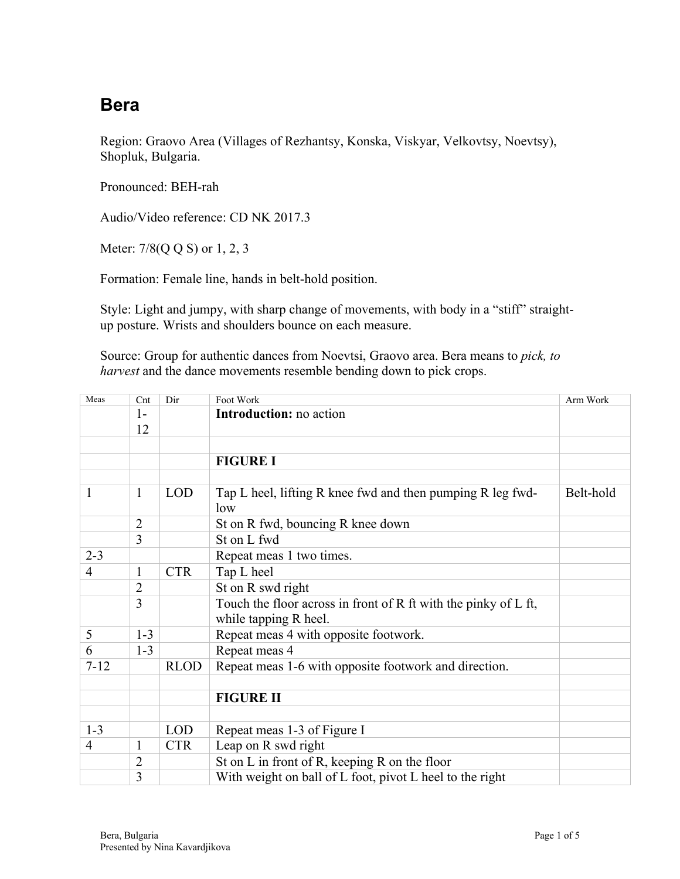# **Bera**

Region: Graovo Area (Villages of Rezhantsy, Konska, Viskyar, Velkovtsy, Noevtsy), Shopluk, Bulgaria.

Pronounced: BEH-rah

Audio/Video reference: CD NK 2017.3

Meter: 7/8(Q Q S) or 1, 2, 3

Formation: Female line, hands in belt-hold position.

Style: Light and jumpy, with sharp change of movements, with body in a "stiff" straightup posture. Wrists and shoulders bounce on each measure.

Source: Group for authentic dances from Noevtsi, Graovo area. Bera means to *pick, to harvest* and the dance movements resemble bending down to pick crops.

| Meas                      | Cnt            | Dir                      | Foot Work                                                                                                                                                       | Arm Work  |
|---------------------------|----------------|--------------------------|-----------------------------------------------------------------------------------------------------------------------------------------------------------------|-----------|
|                           | $1-$           |                          | <b>Introduction:</b> no action                                                                                                                                  |           |
|                           | 12             |                          |                                                                                                                                                                 |           |
|                           |                |                          |                                                                                                                                                                 |           |
|                           |                |                          | <b>FIGURE I</b>                                                                                                                                                 |           |
|                           |                |                          |                                                                                                                                                                 |           |
| 1                         | $\mathbf{1}$   | <b>LOD</b>               | Tap L heel, lifting R knee fwd and then pumping R leg fwd-<br>low                                                                                               | Belt-hold |
|                           | $\overline{2}$ |                          | St on R fwd, bouncing R knee down                                                                                                                               |           |
|                           | $\overline{3}$ |                          | St on L fwd                                                                                                                                                     |           |
| $2 - 3$                   |                |                          | Repeat meas 1 two times.                                                                                                                                        |           |
| $\overline{4}$            | $\mathbf{1}$   | <b>CTR</b>               | Tap L heel                                                                                                                                                      |           |
|                           | 2              |                          | St on R swd right                                                                                                                                               |           |
|                           | 3              |                          | Touch the floor across in front of R ft with the pinky of L ft,<br>while tapping R heel.                                                                        |           |
| 5                         | $1-3$          |                          | Repeat meas 4 with opposite footwork.                                                                                                                           |           |
| 6                         | $1 - 3$        |                          |                                                                                                                                                                 |           |
| $7 - 12$                  |                | <b>RLOD</b>              | Repeat meas 4                                                                                                                                                   |           |
|                           |                |                          | Repeat meas 1-6 with opposite footwork and direction.                                                                                                           |           |
|                           |                |                          |                                                                                                                                                                 |           |
|                           |                |                          | <b>FIGURE II</b>                                                                                                                                                |           |
|                           |                |                          |                                                                                                                                                                 |           |
|                           |                |                          |                                                                                                                                                                 |           |
|                           |                |                          |                                                                                                                                                                 |           |
|                           |                |                          |                                                                                                                                                                 |           |
| $1 - 3$<br>$\overline{4}$ | 1<br>2<br>3    | <b>LOD</b><br><b>CTR</b> | Repeat meas 1-3 of Figure I<br>Leap on R swd right<br>St on L in front of R, keeping R on the floor<br>With weight on ball of L foot, pivot L heel to the right |           |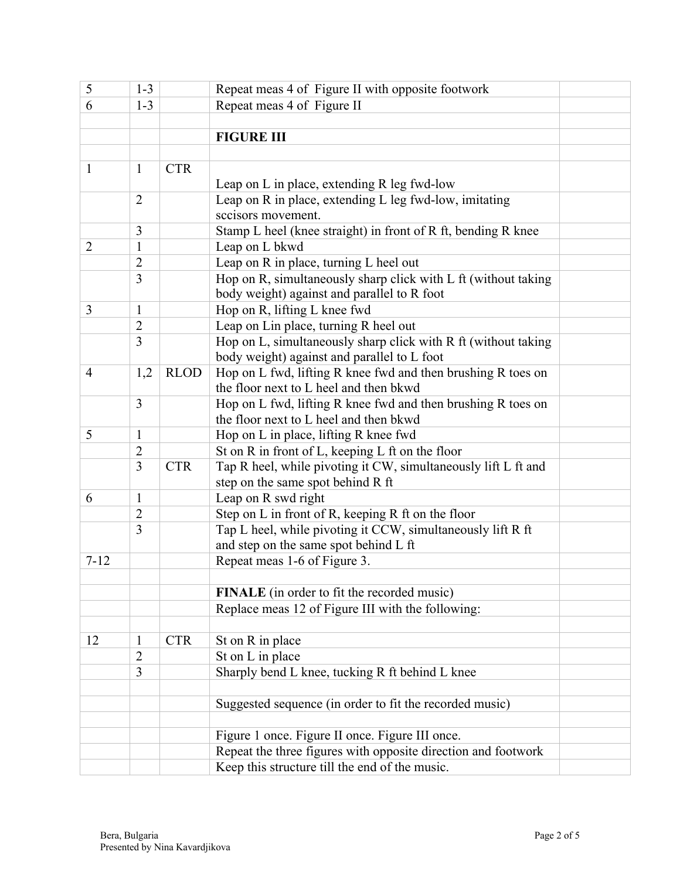| 5              | $1 - 3$        |             | Repeat meas 4 of Figure II with opposite footwork              |  |
|----------------|----------------|-------------|----------------------------------------------------------------|--|
| 6              | $1 - 3$        |             | Repeat meas 4 of Figure II                                     |  |
|                |                |             |                                                                |  |
|                |                |             | <b>FIGURE III</b>                                              |  |
|                |                |             |                                                                |  |
| 1              | $\mathbf{1}$   | <b>CTR</b>  |                                                                |  |
|                |                |             | Leap on L in place, extending R leg fwd-low                    |  |
|                | $\overline{2}$ |             | Leap on R in place, extending L leg fwd-low, imitating         |  |
|                |                |             | sccisors movement.                                             |  |
|                | 3              |             | Stamp L heel (knee straight) in front of R ft, bending R knee  |  |
| $\overline{2}$ | $\mathbf{1}$   |             | Leap on L bkwd                                                 |  |
|                | $\overline{2}$ |             | Leap on R in place, turning L heel out                         |  |
|                | 3              |             | Hop on R, simultaneously sharp click with L ft (without taking |  |
|                |                |             | body weight) against and parallel to R foot                    |  |
| $\overline{3}$ | $\mathbf{1}$   |             | Hop on R, lifting L knee fwd                                   |  |
|                | $\overline{2}$ |             | Leap on Lin place, turning R heel out                          |  |
|                | 3              |             | Hop on L, simultaneously sharp click with R ft (without taking |  |
|                |                |             | body weight) against and parallel to L foot                    |  |
| $\overline{4}$ | 1,2            | <b>RLOD</b> | Hop on L fwd, lifting R knee fwd and then brushing R toes on   |  |
|                |                |             | the floor next to L heel and then bkwd                         |  |
|                | 3              |             | Hop on L fwd, lifting R knee fwd and then brushing R toes on   |  |
|                |                |             | the floor next to L heel and then bkwd                         |  |
| 5              | $\mathbf{1}$   |             | Hop on L in place, lifting R knee fwd                          |  |
|                | $\overline{2}$ |             | St on R in front of L, keeping L ft on the floor               |  |
|                | 3              | <b>CTR</b>  | Tap R heel, while pivoting it CW, simultaneously lift L ft and |  |
|                |                |             | step on the same spot behind R ft                              |  |
| 6              | $\mathbf{1}$   |             | Leap on R swd right                                            |  |
|                | $\overline{2}$ |             | Step on L in front of R, keeping R ft on the floor             |  |
|                | 3              |             | Tap L heel, while pivoting it CCW, simultaneously lift R ft    |  |
|                |                |             | and step on the same spot behind L ft                          |  |
| $7 - 12$       |                |             | Repeat meas 1-6 of Figure 3.                                   |  |
|                |                |             | FINALE (in order to fit the recorded music)                    |  |
|                |                |             |                                                                |  |
|                |                |             | Replace meas 12 of Figure III with the following:              |  |
| 12             | $\mathbf{1}$   | <b>CTR</b>  | St on R in place                                               |  |
|                | $\overline{2}$ |             | St on L in place                                               |  |
|                | 3              |             | Sharply bend L knee, tucking R ft behind L knee                |  |
|                |                |             |                                                                |  |
|                |                |             | Suggested sequence (in order to fit the recorded music)        |  |
|                |                |             |                                                                |  |
|                |                |             | Figure 1 once. Figure II once. Figure III once.                |  |
|                |                |             | Repeat the three figures with opposite direction and footwork  |  |
|                |                |             | Keep this structure till the end of the music.                 |  |
|                |                |             |                                                                |  |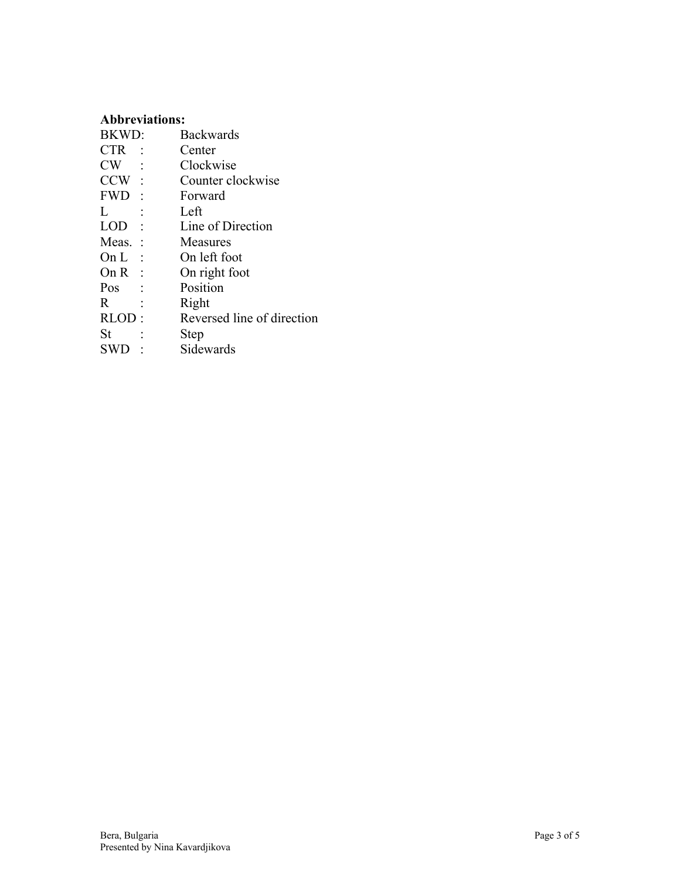## **Abbreviations:**

| BKWD:          |                        | <b>Backwards</b>           |
|----------------|------------------------|----------------------------|
| <b>CTR</b>     |                        | Center                     |
| CW             |                        | Clockwise                  |
| $CCW$ :        |                        | Counter clockwise          |
| FWD:           |                        | Forward                    |
| L              |                        | Left                       |
| LOD            | $\ddot{\phantom{a}}$ : | Line of Direction          |
| Meas. $\colon$ |                        | <b>Measures</b>            |
| On L :         |                        | On left foot               |
| On $R$ :       |                        | On right foot              |
| Pos            |                        | Position                   |
| R.             |                        | Right                      |
| RLOD:          |                        | Reversed line of direction |
| St             |                        | Step                       |
| SWD            |                        | Sidewards                  |
|                |                        |                            |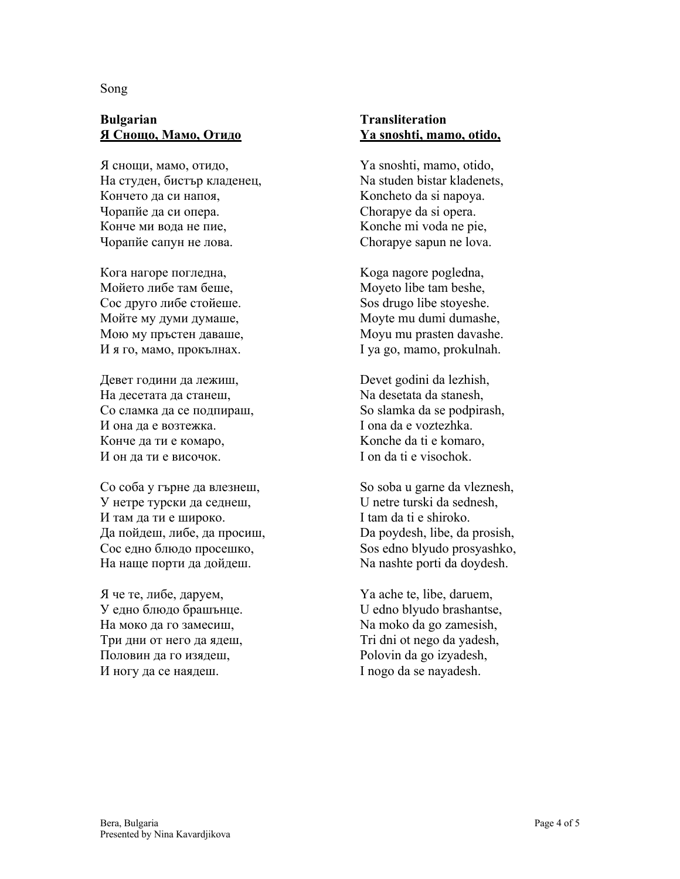Song

#### **Bulgarian Я Снощо, Мамо, Отидо**

Я снощи, мамо, отидо, На студен, бистър кладенец, Кончето да си напоя, Чорапйе да си опера. Конче ми вода не пие, Чорапйе сапун не лова.

Кога нагоре погледна, Мойето либе там беше, Сос друго либе стойеше. Мойте му думи думаше, Мою му пръстен даваше, И я го, мамо, прокълнах.

Девет години да лежиш, На десетата да станеш, Со сламка да се подпираш, И она да е возтежка. Конче да ти е комаро, И он да ти е височок.

Со соба у гърне да влезнеш, У нетре турски да седнеш, И там да ти е широко. Да пойдеш, либе, да просиш, Сос едно блюдо просешко, На наще порти да дойдеш.

Я че те, либе, даруем, У едно блюдо брашънце. На моко да го замесиш, Три дни от него да ядеш, Половин да го изядеш, И ногу да се наядеш.

## **Transliteration Ya snoshti, mamo, otido,**

Ya snoshti, mamo, otido, Na studen bistar kladenets, Koncheto da si napoya. Chorapye da si opera. Konche mi voda ne pie, Chorapye sapun ne lova.

Koga nagore pogledna, Moyeto libe tam beshe, Sos drugo libe stoyeshe. Moyte mu dumi dumashe, Moyu mu prasten davashe. I ya go, mamo, prokulnah.

Devet godini da lezhish, Na desetata da stanesh, So slamka da se podpirash, I ona da e voztezhka. Konche da ti e komaro, I on da ti e visochok.

So soba u garne da vleznesh, U netre turski da sednesh, I tam da ti e shiroko. Da poydesh, libe, da prosish, Sos edno blyudo prosyashko, Na nashte porti da doydesh.

Ya ache te, libe, daruem, U edno blyudo brashantse, Na moko da go zamesish, Tri dni ot nego da yadesh, Polovin da go izyadesh, I nogo da se nayadesh.